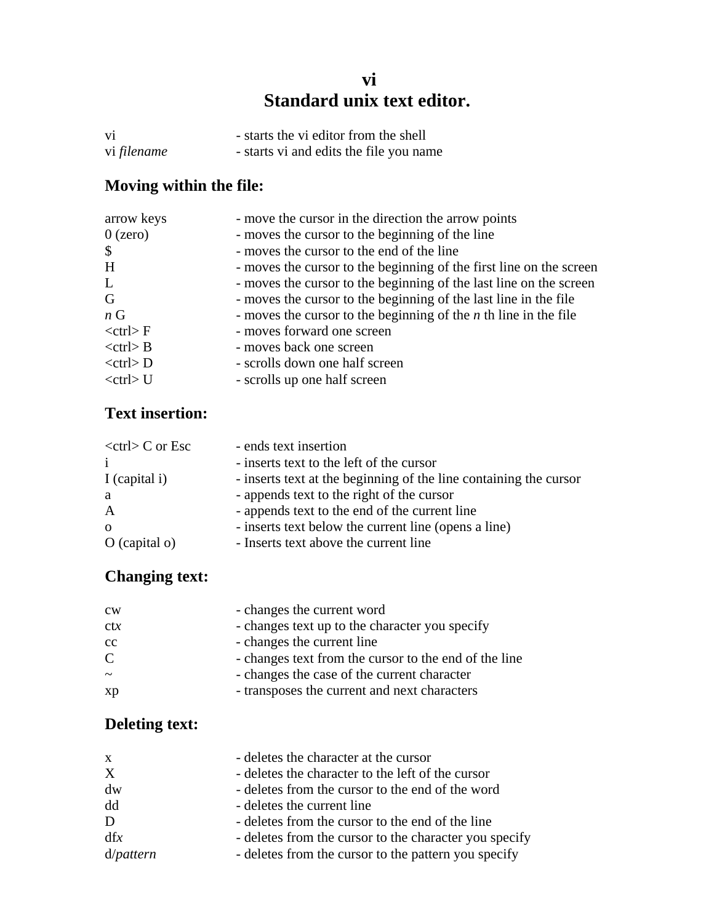#### **vi Standard unix text editor.**

| V <sub>1</sub> | - starts the vi editor from the shell   |
|----------------|-----------------------------------------|
| vi filename    | - starts vi and edits the file you name |

## **Moving within the file:**

| arrow keys                | - move the cursor in the direction the arrow points                 |
|---------------------------|---------------------------------------------------------------------|
| $0$ (zero)                | - moves the cursor to the beginning of the line                     |
| $\boldsymbol{\mathsf{S}}$ | - moves the cursor to the end of the line                           |
| H                         | - moves the cursor to the beginning of the first line on the screen |
| L                         | - moves the cursor to the beginning of the last line on the screen  |
| G                         | - moves the cursor to the beginning of the last line in the file    |
| $n \, G$                  | - moves the cursor to the beginning of the $n$ th line in the file  |
| $<$ ctrl $>$ F            | - moves forward one screen                                          |
| $<$ ctrl $>$ B            | - moves back one screen                                             |
| $<$ ctrl $> D$            | - scrolls down one half screen                                      |
| $<$ ctrl $>$ U            | - scrolls up one half screen                                        |

#### **Text insertion:**

| $<$ ctrl $>$ C or Esc | - ends text insertion                                             |
|-----------------------|-------------------------------------------------------------------|
|                       | - inserts text to the left of the cursor                          |
| I (capital i)         | - inserts text at the beginning of the line containing the cursor |
| a                     | - appends text to the right of the cursor                         |
| A                     | - appends text to the end of the current line                     |
| $\Omega$              | - inserts text below the current line (opens a line)              |
| $O$ (capital $o$ )    | - Inserts text above the current line                             |

### **Changing text:**

| $_{\rm cw}$    | - changes the current word                            |
|----------------|-------------------------------------------------------|
| ctx            | - changes text up to the character you specify        |
| cc             | - changes the current line                            |
| $\overline{C}$ | - changes text from the cursor to the end of the line |
| $\sim$         | - changes the case of the current character           |
| xp             | - transposes the current and next characters          |

### **Deleting text:**

| $\mathbf{X}$ | - deletes the character at the cursor                  |
|--------------|--------------------------------------------------------|
| X            | - deletes the character to the left of the cursor      |
| dw           | - deletes from the cursor to the end of the word       |
| dd           | - deletes the current line                             |
| D            | - deletes from the cursor to the end of the line       |
| dfx          | - deletes from the cursor to the character you specify |
| d/pattern    | - deletes from the cursor to the pattern you specify   |